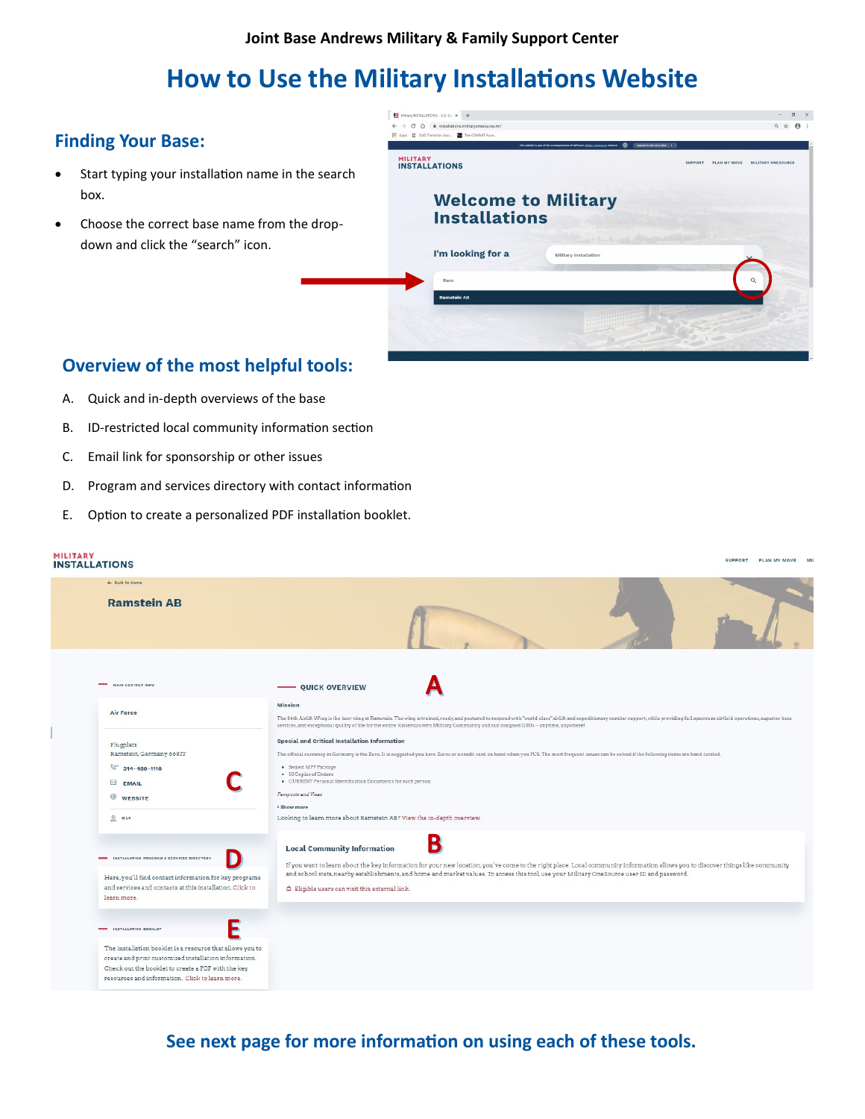**Joint Base Andrews Military & Family Support Center**

# **How to Use the Military Installations Website**

## **Finding Your Base:**

- Start typing your installation name in the search box.
- Choose the correct base name from the dropdown and click the "search" icon.



## **Overview of the most helpful tools:**

- A. Quick and in-depth overviews of the base
- B. ID-restricted local community information section
- C. Email link for sponsorship or other issues
- D. Program and services directory with contact information
- E. Option to create a personalized PDF installation booklet.

| <b>MILITARY</b><br><b>INSTALLATIONS</b>                                                                                                                                                                                                                    | <b>SUPPORT</b><br>PLAN MY MOVE MI                                                                                                                                                                                                                                                                                                                                                                                                                                                         |
|------------------------------------------------------------------------------------------------------------------------------------------------------------------------------------------------------------------------------------------------------------|-------------------------------------------------------------------------------------------------------------------------------------------------------------------------------------------------------------------------------------------------------------------------------------------------------------------------------------------------------------------------------------------------------------------------------------------------------------------------------------------|
| ← Back to Home<br><b>Ramstein AB</b>                                                                                                                                                                                                                       |                                                                                                                                                                                                                                                                                                                                                                                                                                                                                           |
| MAIN CONTACT INFO                                                                                                                                                                                                                                          | <b>QUICK OVERVIEW</b>                                                                                                                                                                                                                                                                                                                                                                                                                                                                     |
| <b>Air Force</b>                                                                                                                                                                                                                                           | <b>Mission</b><br>The 86th Airlift Wing is the host wing at Ramstein. The wing is trained, ready, and postured to respond with "world-class" airlift and expeditionary combat support, while providing full spectrum airfield operations, superi<br>services, and exceptional quality of life for the entire Kaiserslautern Military Community and our assigned GSUs -- anytime, anywhere!                                                                                                |
| Flugplatz<br>Ramstein, Germany 66877<br>314-480-1110<br>$\boxtimes$ EMAIL<br><b>WEBSITE</b><br>$Q$ MAP                                                                                                                                                     | <b>Special and Critical Installation Information</b><br>The official currency in Germany is the Euro. It is suggested you have Euros or a credit card on hand when you PCS. The most frequent issues can be solved if the following items are hand carried.<br>· Sealed MPF Package<br>• 10 Copies of Orders<br>· CURRENT Personal Identification Documents for each person<br>Paeoporte and Vieae<br>* Show more<br>Looking to learn more about Ramstein AB? View the in-depth overview. |
| INSTALLATION PROGRAM & SERVICES DIRECTORY<br>Here, you'll find contact information for key programs<br>and services and contacts at this installation. Click to<br>learn more.                                                                             | B<br><b>Local Community Information</b><br>If you want to learn about the key information for your new location, you've come to the right place. Local community information allows you to discover things like community<br>and school stats, nearby establishments, and home and market values. To access this tool, use your Military OneSource user ID and password.<br>@ Eligible users can visit this external link.                                                                |
| <b>INSTALLATION ROOKLET</b><br>The installation booklet is a resource that allows you to<br>create and print customized installation information.<br>Check out the booklet to create a PDF with the key<br>resources and information. Click to learn more. |                                                                                                                                                                                                                                                                                                                                                                                                                                                                                           |

**See next page for more information on using each of these tools.**